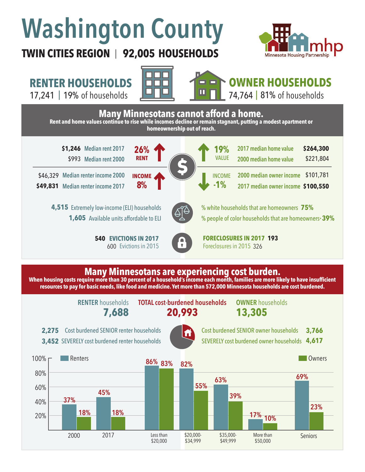# **Washington County**



#### **TWIN CITIES REGION 92,005 HOUSEHOLDS**  |

### **RENTER HOUSEHOLDS**

17,241 | 19% of households **| UNIME | 14,764 | 81%** 



## **OWNER HOUSEHOLDS**

74,764 | 81% of households



**RENTER** households

**7,688 20,993 TOTAL cost-burdened households OWNER** households

**13,305**

2,275 Cost burdened SENIOR renter households 3,452 SEVERELY cost burdened renter households



Cost burdened SENIOR owner households SEVERELY cost burdened owner households **4,617 3,766**